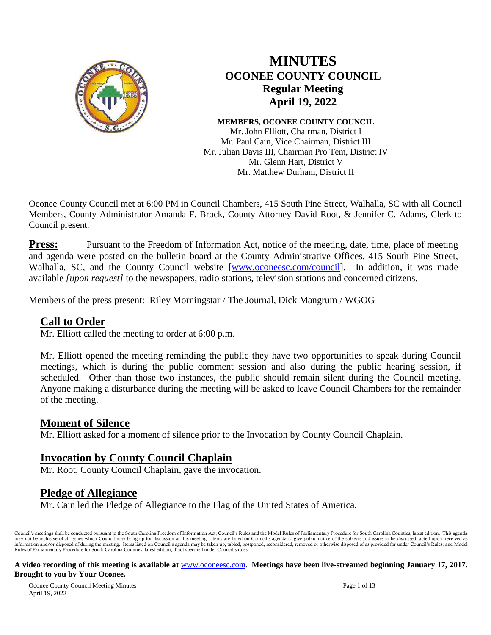

# **MINUTES OCONEE COUNTY COUNCIL Regular Meeting April 19, 2022**

# **MEMBERS, OCONEE COUNTY COUNCIL**

Mr. John Elliott, Chairman, District I Mr. Paul Cain, Vice Chairman, District III Mr. Julian Davis III, Chairman Pro Tem, District IV Mr. Glenn Hart, District V Mr. Matthew Durham, District II

Oconee County Council met at 6:00 PM in Council Chambers, 415 South Pine Street, Walhalla, SC with all Council Members, County Administrator Amanda F. Brock, County Attorney David Root, & Jennifer C. Adams, Clerk to Council present.

**Press:** Pursuant to the Freedom of Information Act, notice of the meeting, date, time, place of meeting and agenda were posted on the bulletin board at the County Administrative Offices, 415 South Pine Street, Walhalla, SC, and the County Council website [\[www.oconeesc.com/council\]](http://www.oconeesc.com/council). In addition, it was made available *[upon request]* to the newspapers, radio stations, television stations and concerned citizens.

Members of the press present: Riley Morningstar / The Journal, Dick Mangrum / WGOG

### **Call to Order**

Mr. Elliott called the meeting to order at 6:00 p.m.

Mr. Elliott opened the meeting reminding the public they have two opportunities to speak during Council meetings, which is during the public comment session and also during the public hearing session, if scheduled. Other than those two instances, the public should remain silent during the Council meeting. Anyone making a disturbance during the meeting will be asked to leave Council Chambers for the remainder of the meeting.

### **Moment of Silence**

Mr. Elliott asked for a moment of silence prior to the Invocation by County Council Chaplain.

## **Invocation by County Council Chaplain**

Mr. Root, County Council Chaplain, gave the invocation.

## **Pledge of Allegiance**

Mr. Cain led the Pledge of Allegiance to the Flag of the United States of America.

Council's meetings shall be conducted pursuant to the South Carolina Freedom of Information Act, Council's Rules and the Model Rules of Parliamentary Procedure for South Carolina Counties, latest edition. This agenda may not be inclusive of all issues which Council may bring up for discussion at this meeting. Items are listed on Council's agenda to give public notice of the subjects and issues to be discussed, acted upon, received as i Rules of Parliamentary Procedure for South Carolina Counties, latest edition, if not specified under Council's rules.

#### **A video recording of this meeting is available at** [www.oconeesc.com.](http://www.oconeesc.com/) **Meetings have been live-streamed beginning January 17, 2017. Brought to you by Your Oconee.**

Oconee County Council Meeting Minutes Page 1 of 13 April 19, 2022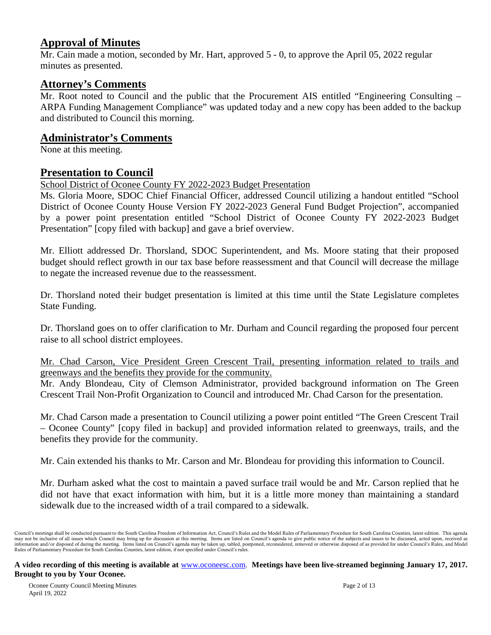# **Approval of Minutes**

Mr. Cain made a motion, seconded by Mr. Hart, approved 5 - 0, to approve the April 05, 2022 regular minutes as presented.

### **Attorney's Comments**

Mr. Root noted to Council and the public that the Procurement AIS entitled "Engineering Consulting – ARPA Funding Management Compliance" was updated today and a new copy has been added to the backup and distributed to Council this morning.

### **Administrator's Comments**

None at this meeting.

### **Presentation to Council**

School District of Oconee County FY 2022-2023 Budget Presentation

Ms. Gloria Moore, SDOC Chief Financial Officer, addressed Council utilizing a handout entitled "School District of Oconee County House Version FY 2022-2023 General Fund Budget Projection", accompanied by a power point presentation entitled "School District of Oconee County FY 2022-2023 Budget Presentation" [copy filed with backup] and gave a brief overview.

Mr. Elliott addressed Dr. Thorsland, SDOC Superintendent, and Ms. Moore stating that their proposed budget should reflect growth in our tax base before reassessment and that Council will decrease the millage to negate the increased revenue due to the reassessment.

Dr. Thorsland noted their budget presentation is limited at this time until the State Legislature completes State Funding.

Dr. Thorsland goes on to offer clarification to Mr. Durham and Council regarding the proposed four percent raise to all school district employees.

### Mr. Chad Carson, Vice President Green Crescent Trail, presenting information related to trails and greenways and the benefits they provide for the community.

Mr. Andy Blondeau, City of Clemson Administrator, provided background information on The Green Crescent Trail Non-Profit Organization to Council and introduced Mr. Chad Carson for the presentation.

Mr. Chad Carson made a presentation to Council utilizing a power point entitled "The Green Crescent Trail – Oconee County" [copy filed in backup] and provided information related to greenways, trails, and the benefits they provide for the community.

Mr. Cain extended his thanks to Mr. Carson and Mr. Blondeau for providing this information to Council.

Mr. Durham asked what the cost to maintain a paved surface trail would be and Mr. Carson replied that he did not have that exact information with him, but it is a little more money than maintaining a standard sidewalk due to the increased width of a trail compared to a sidewalk.

Council's meetings shall be conducted pursuant to the South Carolina Freedom of Information Act, Council's Rules and the Model Rules of Parliamentary Procedure for South Carolina Counties, latest edition. This agenda may not be inclusive of all issues which Council may bring up for discussion at this meeting. Items are listed on Council's agenda to give public notice of the subjects and issues to be discussed, acted upon, received as i Rules of Parliamentary Procedure for South Carolina Counties, latest edition, if not specified under Council's rules.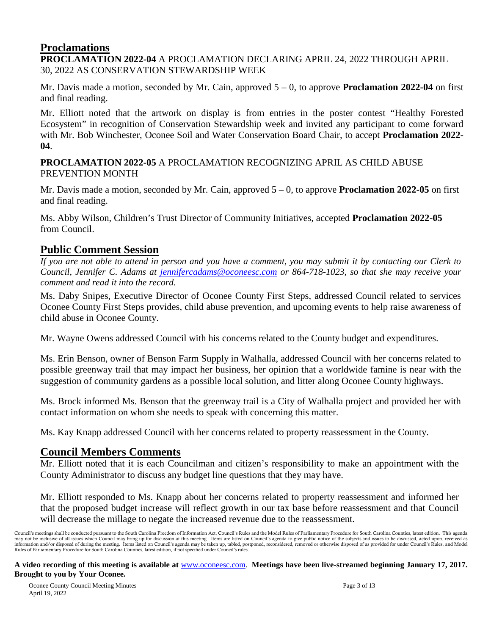# **Proclamations**

**PROCLAMATION 2022-04** A PROCLAMATION DECLARING APRIL 24, 2022 THROUGH APRIL 30, 2022 AS CONSERVATION STEWARDSHIP WEEK

Mr. Davis made a motion, seconded by Mr. Cain, approved 5 – 0, to approve **Proclamation 2022-04** on first and final reading.

Mr. Elliott noted that the artwork on display is from entries in the poster contest "Healthy Forested Ecosystem" in recognition of Conservation Stewardship week and invited any participant to come forward with Mr. Bob Winchester, Oconee Soil and Water Conservation Board Chair, to accept **Proclamation 2022- 04**.

**PROCLAMATION 2022-05** A PROCLAMATION RECOGNIZING APRIL AS CHILD ABUSE PREVENTION MONTH

Mr. Davis made a motion, seconded by Mr. Cain, approved 5 – 0, to approve **Proclamation 2022-05** on first and final reading.

Ms. Abby Wilson, Children's Trust Director of Community Initiatives, accepted **Proclamation 2022-05** from Council.

# **Public Comment Session**

*If you are not able to attend in person and you have a comment, you may submit it by contacting our Clerk to Council, Jennifer C. Adams at jennifercadams@oconeesc.com or 864-718-1023, so that she may receive your comment and read it into the record.*

Ms. Daby Snipes, Executive Director of Oconee County First Steps, addressed Council related to services Oconee County First Steps provides, child abuse prevention, and upcoming events to help raise awareness of child abuse in Oconee County.

Mr. Wayne Owens addressed Council with his concerns related to the County budget and expenditures.

Ms. Erin Benson, owner of Benson Farm Supply in Walhalla, addressed Council with her concerns related to possible greenway trail that may impact her business, her opinion that a worldwide famine is near with the suggestion of community gardens as a possible local solution, and litter along Oconee County highways.

Ms. Brock informed Ms. Benson that the greenway trail is a City of Walhalla project and provided her with contact information on whom she needs to speak with concerning this matter.

Ms. Kay Knapp addressed Council with her concerns related to property reassessment in the County.

## **Council Members Comments**

Mr. Elliott noted that it is each Councilman and citizen's responsibility to make an appointment with the County Administrator to discuss any budget line questions that they may have.

Mr. Elliott responded to Ms. Knapp about her concerns related to property reassessment and informed her that the proposed budget increase will reflect growth in our tax base before reassessment and that Council will decrease the millage to negate the increased revenue due to the reassessment.

Council's meetings shall be conducted pursuant to the South Carolina Freedom of Information Act, Council's Rules and the Model Rules of Parliamentary Procedure for South Carolina Counties, latest edition. This agenda may not be inclusive of all issues which Council may bring up for discussion at this meeting. Items are listed on Council's agenda to give public notice of the subjects and issues to be discussed, acted upon, received as i Rules of Parliamentary Procedure for South Carolina Counties, latest edition, if not specified under Council's rules.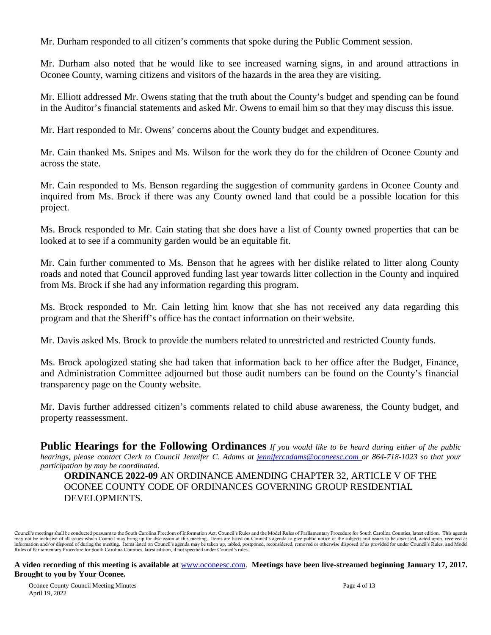Mr. Durham responded to all citizen's comments that spoke during the Public Comment session.

Mr. Durham also noted that he would like to see increased warning signs, in and around attractions in Oconee County, warning citizens and visitors of the hazards in the area they are visiting.

Mr. Elliott addressed Mr. Owens stating that the truth about the County's budget and spending can be found in the Auditor's financial statements and asked Mr. Owens to email him so that they may discuss this issue.

Mr. Hart responded to Mr. Owens' concerns about the County budget and expenditures.

Mr. Cain thanked Ms. Snipes and Ms. Wilson for the work they do for the children of Oconee County and across the state.

Mr. Cain responded to Ms. Benson regarding the suggestion of community gardens in Oconee County and inquired from Ms. Brock if there was any County owned land that could be a possible location for this project.

Ms. Brock responded to Mr. Cain stating that she does have a list of County owned properties that can be looked at to see if a community garden would be an equitable fit.

Mr. Cain further commented to Ms. Benson that he agrees with her dislike related to litter along County roads and noted that Council approved funding last year towards litter collection in the County and inquired from Ms. Brock if she had any information regarding this program.

Ms. Brock responded to Mr. Cain letting him know that she has not received any data regarding this program and that the Sheriff's office has the contact information on their website.

Mr. Davis asked Ms. Brock to provide the numbers related to unrestricted and restricted County funds.

Ms. Brock apologized stating she had taken that information back to her office after the Budget, Finance, and Administration Committee adjourned but those audit numbers can be found on the County's financial transparency page on the County website.

Mr. Davis further addressed citizen's comments related to child abuse awareness, the County budget, and property reassessment.

**Public Hearings for the Following Ordinances** *If you would like to be heard during either of the public hearings, please contact Clerk to Council Jennifer C. Adams at [jennifercadams@oconeesc.com o](mailto:jennifercadams@oconeesc.com)r 864-718-1023 so that your participation by may be coordinated.*

**ORDINANCE 2022-09** AN ORDINANCE AMENDING CHAPTER 32, ARTICLE V OF THE OCONEE COUNTY CODE OF ORDINANCES GOVERNING GROUP RESIDENTIAL DEVELOPMENTS.

Council's meetings shall be conducted pursuant to the South Carolina Freedom of Information Act, Council's Rules and the Model Rules of Parliamentary Procedure for South Carolina Counties, latest edition. This agenda may not be inclusive of all issues which Council may bring up for discussion at this meeting. Items are listed on Council's agenda to give public notice of the subjects and issues to be discussed, acted upon, received as i Rules of Parliamentary Procedure for South Carolina Counties, latest edition, if not specified under Council's rules.

### **A video recording of this meeting is available at** [www.oconeesc.com.](http://www.oconeesc.com/) **Meetings have been live-streamed beginning January 17, 2017. Brought to you by Your Oconee.**

Oconee County Council Meeting Minutes Page 4 of 13 April 19, 2022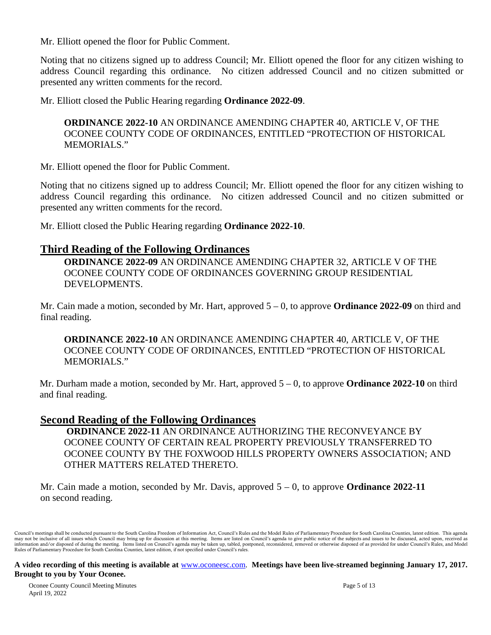Mr. Elliott opened the floor for Public Comment.

Noting that no citizens signed up to address Council; Mr. Elliott opened the floor for any citizen wishing to address Council regarding this ordinance. No citizen addressed Council and no citizen submitted or presented any written comments for the record.

Mr. Elliott closed the Public Hearing regarding **Ordinance 2022-09**.

**ORDINANCE 2022-10** AN ORDINANCE AMENDING CHAPTER 40, ARTICLE V, OF THE OCONEE COUNTY CODE OF ORDINANCES, ENTITLED "PROTECTION OF HISTORICAL MEMORIALS."

Mr. Elliott opened the floor for Public Comment.

Noting that no citizens signed up to address Council; Mr. Elliott opened the floor for any citizen wishing to address Council regarding this ordinance. No citizen addressed Council and no citizen submitted or presented any written comments for the record.

Mr. Elliott closed the Public Hearing regarding **Ordinance 2022-10**.

# **Third Reading of the Following Ordinances**

**ORDINANCE 2022-09** AN ORDINANCE AMENDING CHAPTER 32, ARTICLE V OF THE OCONEE COUNTY CODE OF ORDINANCES GOVERNING GROUP RESIDENTIAL DEVELOPMENTS.

Mr. Cain made a motion, seconded by Mr. Hart, approved 5 – 0, to approve **Ordinance 2022-09** on third and final reading.

**ORDINANCE 2022-10** AN ORDINANCE AMENDING CHAPTER 40, ARTICLE V, OF THE OCONEE COUNTY CODE OF ORDINANCES, ENTITLED "PROTECTION OF HISTORICAL MEMORIALS."

Mr. Durham made a motion, seconded by Mr. Hart, approved 5 – 0, to approve **Ordinance 2022-10** on third and final reading.

# **Second Reading of the Following Ordinances**

**ORDINANCE 2022-11** AN ORDINANCE AUTHORIZING THE RECONVEYANCE BY OCONEE COUNTY OF CERTAIN REAL PROPERTY PREVIOUSLY TRANSFERRED TO OCONEE COUNTY BY THE FOXWOOD HILLS PROPERTY OWNERS ASSOCIATION; AND OTHER MATTERS RELATED THERETO.

Mr. Cain made a motion, seconded by Mr. Davis, approved 5 – 0, to approve **Ordinance 2022-11** on second reading.

Council's meetings shall be conducted pursuant to the South Carolina Freedom of Information Act, Council's Rules and the Model Rules of Parliamentary Procedure for South Carolina Counties, latest edition. This agenda may not be inclusive of all issues which Council may bring up for discussion at this meeting. Items are listed on Council's agenda to give public notice of the subjects and issues to be discussed, acted upon, received as i Rules of Parliamentary Procedure for South Carolina Counties, latest edition, if not specified under Council's rules.

### **A video recording of this meeting is available at** [www.oconeesc.com.](http://www.oconeesc.com/) **Meetings have been live-streamed beginning January 17, 2017. Brought to you by Your Oconee.**

Oconee County Council Meeting Minutes Page 5 of 13 April 19, 2022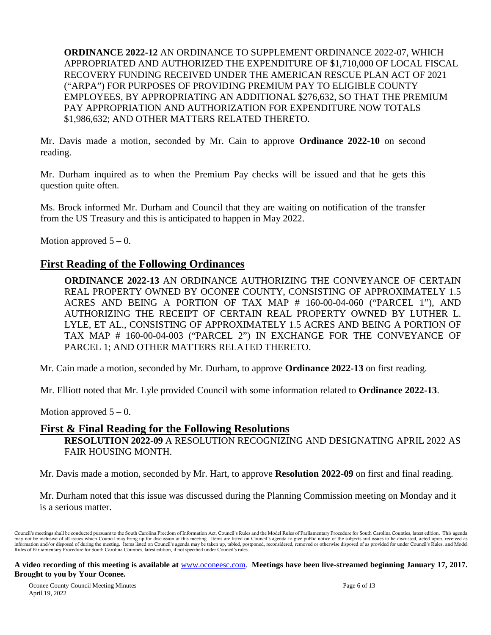**ORDINANCE 2022-12** AN ORDINANCE TO SUPPLEMENT ORDINANCE 2022-07, WHICH APPROPRIATED AND AUTHORIZED THE EXPENDITURE OF \$1,710,000 OF LOCAL FISCAL RECOVERY FUNDING RECEIVED UNDER THE AMERICAN RESCUE PLAN ACT OF 2021 ("ARPA") FOR PURPOSES OF PROVIDING PREMIUM PAY TO ELIGIBLE COUNTY EMPLOYEES, BY APPROPRIATING AN ADDITIONAL \$276,632, SO THAT THE PREMIUM PAY APPROPRIATION AND AUTHORIZATION FOR EXPENDITURE NOW TOTALS \$1,986,632; AND OTHER MATTERS RELATED THERETO.

Mr. Davis made a motion, seconded by Mr. Cain to approve **Ordinance 2022-10** on second reading.

Mr. Durham inquired as to when the Premium Pay checks will be issued and that he gets this question quite often.

Ms. Brock informed Mr. Durham and Council that they are waiting on notification of the transfer from the US Treasury and this is anticipated to happen in May 2022.

Motion approved  $5 - 0$ .

# **First Reading of the Following Ordinances**

**ORDINANCE 2022-13** AN ORDINANCE AUTHORIZING THE CONVEYANCE OF CERTAIN REAL PROPERTY OWNED BY OCONEE COUNTY, CONSISTING OF APPROXIMATELY 1.5 ACRES AND BEING A PORTION OF TAX MAP # 160-00-04-060 ("PARCEL 1"), AND AUTHORIZING THE RECEIPT OF CERTAIN REAL PROPERTY OWNED BY LUTHER L. LYLE, ET AL., CONSISTING OF APPROXIMATELY 1.5 ACRES AND BEING A PORTION OF TAX MAP # 160-00-04-003 ("PARCEL 2") IN EXCHANGE FOR THE CONVEYANCE OF PARCEL 1; AND OTHER MATTERS RELATED THERETO.

Mr. Cain made a motion, seconded by Mr. Durham, to approve **Ordinance 2022-13** on first reading.

Mr. Elliott noted that Mr. Lyle provided Council with some information related to **Ordinance 2022-13**.

Motion approved  $5 - 0$ .

### **First & Final Reading for the Following Resolutions**

**RESOLUTION 2022-09** A RESOLUTION RECOGNIZING AND DESIGNATING APRIL 2022 AS FAIR HOUSING MONTH.

Mr. Davis made a motion, seconded by Mr. Hart, to approve **Resolution 2022-09** on first and final reading.

Mr. Durham noted that this issue was discussed during the Planning Commission meeting on Monday and it is a serious matter.

Council's meetings shall be conducted pursuant to the South Carolina Freedom of Information Act, Council's Rules and the Model Rules of Parliamentary Procedure for South Carolina Counties, latest edition. This agenda may not be inclusive of all issues which Council may bring up for discussion at this meeting. Items are listed on Council's agenda to give public notice of the subjects and issues to be discussed, acted upon, received as i Rules of Parliamentary Procedure for South Carolina Counties, latest edition, if not specified under Council's rules.

#### **A video recording of this meeting is available at** [www.oconeesc.com.](http://www.oconeesc.com/) **Meetings have been live-streamed beginning January 17, 2017. Brought to you by Your Oconee.**

Oconee County Council Meeting Minutes Page 6 of 13 April 19, 2022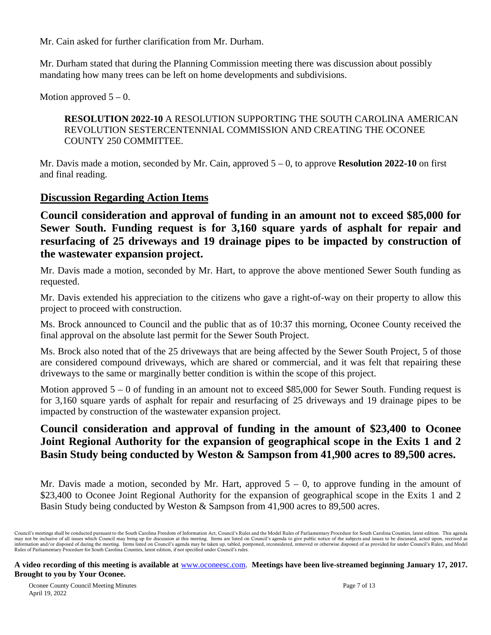Mr. Cain asked for further clarification from Mr. Durham.

Mr. Durham stated that during the Planning Commission meeting there was discussion about possibly mandating how many trees can be left on home developments and subdivisions.

Motion approved  $5 - 0$ .

**RESOLUTION 2022-10** A RESOLUTION SUPPORTING THE SOUTH CAROLINA AMERICAN REVOLUTION SESTERCENTENNIAL COMMISSION AND CREATING THE OCONEE COUNTY 250 COMMITTEE.

Mr. Davis made a motion, seconded by Mr. Cain, approved 5 – 0, to approve **Resolution 2022-10** on first and final reading.

# **Discussion Regarding Action Items**

**Council consideration and approval of funding in an amount not to exceed \$85,000 for Sewer South. Funding request is for 3,160 square yards of asphalt for repair and resurfacing of 25 driveways and 19 drainage pipes to be impacted by construction of the wastewater expansion project.**

Mr. Davis made a motion, seconded by Mr. Hart, to approve the above mentioned Sewer South funding as requested.

Mr. Davis extended his appreciation to the citizens who gave a right-of-way on their property to allow this project to proceed with construction.

Ms. Brock announced to Council and the public that as of 10:37 this morning, Oconee County received the final approval on the absolute last permit for the Sewer South Project.

Ms. Brock also noted that of the 25 driveways that are being affected by the Sewer South Project, 5 of those are considered compound driveways, which are shared or commercial, and it was felt that repairing these driveways to the same or marginally better condition is within the scope of this project.

Motion approved  $5 - 0$  of funding in an amount not to exceed \$85,000 for Sewer South. Funding request is for 3,160 square yards of asphalt for repair and resurfacing of 25 driveways and 19 drainage pipes to be impacted by construction of the wastewater expansion project.

# **Council consideration and approval of funding in the amount of \$23,400 to Oconee Joint Regional Authority for the expansion of geographical scope in the Exits 1 and 2 Basin Study being conducted by Weston & Sampson from 41,900 acres to 89,500 acres.**

Mr. Davis made a motion, seconded by Mr. Hart, approved  $5 - 0$ , to approve funding in the amount of \$23,400 to Oconee Joint Regional Authority for the expansion of geographical scope in the Exits 1 and 2 Basin Study being conducted by Weston & Sampson from 41,900 acres to 89,500 acres.

Council's meetings shall be conducted pursuant to the South Carolina Freedom of Information Act, Council's Rules and the Model Rules of Parliamentary Procedure for South Carolina Counties, latest edition. This agenda may not be inclusive of all issues which Council may bring up for discussion at this meeting. Items are listed on Council's agenda to give public notice of the subjects and issues to be discussed, acted upon, received as i Rules of Parliamentary Procedure for South Carolina Counties, latest edition, if not specified under Council's rules.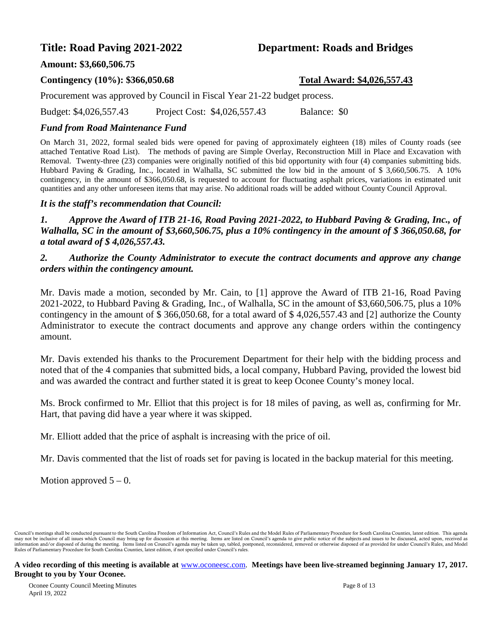# **Title: Road Paving 2021-2022 Department: Roads and Bridges**

### **Amount: \$3,660,506.75**

### **Contingency (10%): \$366,050.68 Total Award: \$4,026,557.43**

Procurement was approved by Council in Fiscal Year 21-22 budget process.

Budget: \$4,026,557.43 Project Cost: \$4,026,557.43 Balance: \$0

### *Fund from Road Maintenance Fund*

On March 31, 2022, formal sealed bids were opened for paving of approximately eighteen (18) miles of County roads (see attached Tentative Road List). The methods of paving are Simple Overlay, Reconstruction Mill in Place and Excavation with Removal. Twenty-three (23) companies were originally notified of this bid opportunity with four (4) companies submitting bids. Hubbard Paving & Grading, Inc., located in Walhalla, SC submitted the low bid in the amount of \$ 3,660,506.75. A 10% contingency, in the amount of \$366,050.68, is requested to account for fluctuating asphalt prices, variations in estimated unit quantities and any other unforeseen items that may arise. No additional roads will be added without County Council Approval.

### *It is the staff's recommendation that Council:*

*1. Approve the Award of ITB 21-16, Road Paving 2021-2022, to Hubbard Paving & Grading, Inc., of Walhalla, SC in the amount of \$3,660,506.75, plus a 10% contingency in the amount of \$ 366,050.68, for a total award of \$ 4,026,557.43.* 

### *2. Authorize the County Administrator to execute the contract documents and approve any change orders within the contingency amount.*

Mr. Davis made a motion, seconded by Mr. Cain, to [1] approve the Award of ITB 21-16, Road Paving 2021-2022, to Hubbard Paving & Grading, Inc., of Walhalla, SC in the amount of \$3,660,506.75, plus a 10% contingency in the amount of \$ 366,050.68, for a total award of \$ 4,026,557.43 and [2] authorize the County Administrator to execute the contract documents and approve any change orders within the contingency amount.

Mr. Davis extended his thanks to the Procurement Department for their help with the bidding process and noted that of the 4 companies that submitted bids, a local company, Hubbard Paving, provided the lowest bid and was awarded the contract and further stated it is great to keep Oconee County's money local.

Ms. Brock confirmed to Mr. Elliot that this project is for 18 miles of paving, as well as, confirming for Mr. Hart, that paving did have a year where it was skipped.

Mr. Elliott added that the price of asphalt is increasing with the price of oil.

Mr. Davis commented that the list of roads set for paving is located in the backup material for this meeting.

Motion approved  $5 - 0$ .

Council's meetings shall be conducted pursuant to the South Carolina Freedom of Information Act, Council's Rules and the Model Rules of Parliamentary Procedure for South Carolina Counties, latest edition. This agenda may not be inclusive of all issues which Council may bring up for discussion at this meeting. Items are listed on Council's agenda to give public notice of the subjects and issues to be discussed, acted upon, received as i Rules of Parliamentary Procedure for South Carolina Counties, latest edition, if not specified under Council's rules.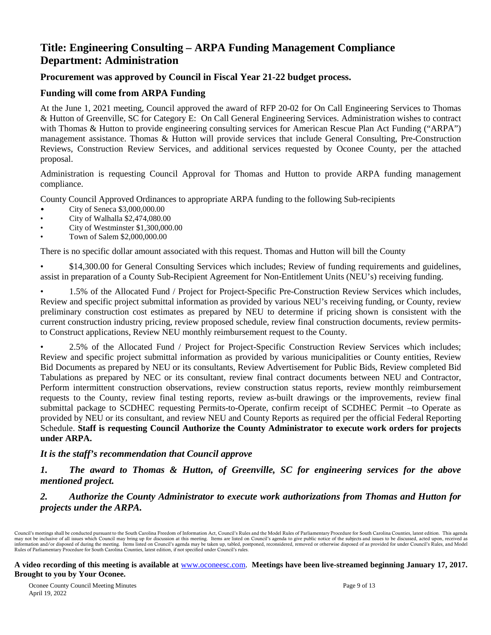# **Title: Engineering Consulting – ARPA Funding Management Compliance Department: Administration**

### **Procurement was approved by Council in Fiscal Year 21-22 budget process.**

### **Funding will come from ARPA Funding**

At the June 1, 2021 meeting, Council approved the award of RFP 20-02 for On Call Engineering Services to Thomas & Hutton of Greenville, SC for Category E: On Call General Engineering Services. Administration wishes to contract with Thomas & Hutton to provide engineering consulting services for American Rescue Plan Act Funding ("ARPA") management assistance. Thomas & Hutton will provide services that include General Consulting, Pre-Construction Reviews, Construction Review Services, and additional services requested by Oconee County, per the attached proposal.

Administration is requesting Council Approval for Thomas and Hutton to provide ARPA funding management compliance.

County Council Approved Ordinances to appropriate ARPA funding to the following Sub-recipients

- City of Seneca \$3,000,000.00
- City of Walhalla \$2,474,080.00
- City of Westminster \$1,300,000.00
- Town of Salem \$2,000,000.00

There is no specific dollar amount associated with this request. Thomas and Hutton will bill the County

• \$14,300.00 for General Consulting Services which includes; Review of funding requirements and guidelines, assist in preparation of a County Sub-Recipient Agreement for Non-Entitlement Units (NEU's) receiving funding.

• 1.5% of the Allocated Fund / Project for Project-Specific Pre-Construction Review Services which includes, Review and specific project submittal information as provided by various NEU's receiving funding, or County, review preliminary construction cost estimates as prepared by NEU to determine if pricing shown is consistent with the current construction industry pricing, review proposed schedule, review final construction documents, review permitsto Construct applications, Review NEU monthly reimbursement request to the County.

• 2.5% of the Allocated Fund / Project for Project-Specific Construction Review Services which includes; Review and specific project submittal information as provided by various municipalities or County entities, Review Bid Documents as prepared by NEU or its consultants, Review Advertisement for Public Bids, Review completed Bid Tabulations as prepared by NEC or its consultant, review final contract documents between NEU and Contractor, Perform intermittent construction observations, review construction status reports, review monthly reimbursement requests to the County, review final testing reports, review as-built drawings or the improvements, review final submittal package to SCDHEC requesting Permits-to-Operate, confirm receipt of SCDHEC Permit –to Operate as provided by NEU or its consultant, and review NEU and County Reports as required per the official Federal Reporting Schedule. **Staff is requesting Council Authorize the County Administrator to execute work orders for projects under ARPA.**

### *It is the staff's recommendation that Council approve*

*1. The award to Thomas & Hutton, of Greenville, SC for engineering services for the above mentioned project.*

### *2. Authorize the County Administrator to execute work authorizations from Thomas and Hutton for projects under the ARPA.*

Council's meetings shall be conducted pursuant to the South Carolina Freedom of Information Act, Council's Rules and the Model Rules of Parliamentary Procedure for South Carolina Counties, latest edition. This agenda may not be inclusive of all issues which Council may bring up for discussion at this meeting. Items are listed on Council's agenda to give public notice of the subjects and issues to be discussed, acted upon, received as i Rules of Parliamentary Procedure for South Carolina Counties, latest edition, if not specified under Council's rules.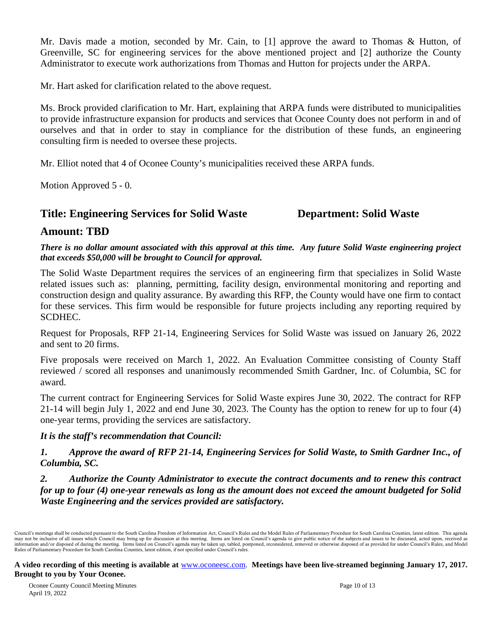Mr. Davis made a motion, seconded by Mr. Cain, to [1] approve the award to Thomas & Hutton, of Greenville, SC for engineering services for the above mentioned project and [2] authorize the County Administrator to execute work authorizations from Thomas and Hutton for projects under the ARPA.

Mr. Hart asked for clarification related to the above request.

Ms. Brock provided clarification to Mr. Hart, explaining that ARPA funds were distributed to municipalities to provide infrastructure expansion for products and services that Oconee County does not perform in and of ourselves and that in order to stay in compliance for the distribution of these funds, an engineering consulting firm is needed to oversee these projects.

Mr. Elliot noted that 4 of Oconee County's municipalities received these ARPA funds.

Motion Approved 5 - 0.

# **Title: Engineering Services for Solid Waste Department: Solid Waste**

# **Amount: TBD**

*There is no dollar amount associated with this approval at this time. Any future Solid Waste engineering project that exceeds \$50,000 will be brought to Council for approval.*

The Solid Waste Department requires the services of an engineering firm that specializes in Solid Waste related issues such as: planning, permitting, facility design, environmental monitoring and reporting and construction design and quality assurance. By awarding this RFP, the County would have one firm to contact for these services. This firm would be responsible for future projects including any reporting required by SCDHEC.

Request for Proposals, RFP 21-14, Engineering Services for Solid Waste was issued on January 26, 2022 and sent to 20 firms.

Five proposals were received on March 1, 2022. An Evaluation Committee consisting of County Staff reviewed / scored all responses and unanimously recommended Smith Gardner, Inc. of Columbia, SC for award.

The current contract for Engineering Services for Solid Waste expires June 30, 2022. The contract for RFP 21-14 will begin July 1, 2022 and end June 30, 2023. The County has the option to renew for up to four (4) one-year terms, providing the services are satisfactory.

### *It is the staff's recommendation that Council:*

*1. Approve the award of RFP 21-14, Engineering Services for Solid Waste, to Smith Gardner Inc., of Columbia, SC.*

*2. Authorize the County Administrator to execute the contract documents and to renew this contract for up to four (4) one-year renewals as long as the amount does not exceed the amount budgeted for Solid Waste Engineering and the services provided are satisfactory.*

Council's meetings shall be conducted pursuant to the South Carolina Freedom of Information Act, Council's Rules and the Model Rules of Parliamentary Procedure for South Carolina Counties, latest edition. This agenda may not be inclusive of all issues which Council may bring up for discussion at this meeting. Items are listed on Council's agenda to give public notice of the subjects and issues to be discussed, acted upon, received as i Rules of Parliamentary Procedure for South Carolina Counties, latest edition, if not specified under Council's rules.

**A video recording of this meeting is available at** [www.oconeesc.com.](http://www.oconeesc.com/) **Meetings have been live-streamed beginning January 17, 2017. Brought to you by Your Oconee.**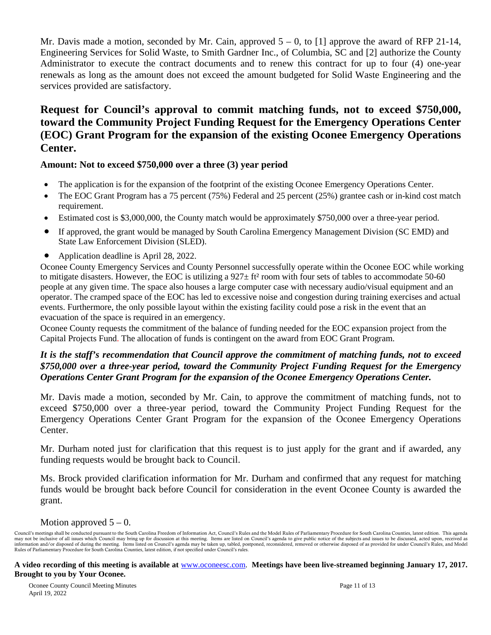Mr. Davis made a motion, seconded by Mr. Cain, approved  $5 - 0$ , to [1] approve the award of RFP 21-14, Engineering Services for Solid Waste, to Smith Gardner Inc., of Columbia, SC and [2] authorize the County Administrator to execute the contract documents and to renew this contract for up to four (4) one-year renewals as long as the amount does not exceed the amount budgeted for Solid Waste Engineering and the services provided are satisfactory.

# **Request for Council's approval to commit matching funds, not to exceed \$750,000, toward the Community Project Funding Request for the Emergency Operations Center (EOC) Grant Program for the expansion of the existing Oconee Emergency Operations Center.**

### **Amount: Not to exceed \$750,000 over a three (3) year period**

- The application is for the expansion of the footprint of the existing Oconee Emergency Operations Center.
- The EOC Grant Program has a 75 percent (75%) Federal and 25 percent (25%) grantee cash or in-kind cost match requirement.
- Estimated cost is \$3,000,000, the County match would be approximately \$750,000 over a three-year period.
- If approved, the grant would be managed by South Carolina Emergency Management Division (SC EMD) and State Law Enforcement Division (SLED).
- Application deadline is April 28, 2022.

Oconee County Emergency Services and County Personnel successfully operate within the Oconee EOC while working to mitigate disasters. However, the EOC is utilizing a  $927 \pm \text{ft}^2$  room with four sets of tables to accommodate 50-60 people at any given time. The space also houses a large computer case with necessary audio/visual equipment and an operator. The cramped space of the EOC has led to excessive noise and congestion during training exercises and actual events. Furthermore, the only possible layout within the existing facility could pose a risk in the event that an evacuation of the space is required in an emergency.

Oconee County requests the commitment of the balance of funding needed for the EOC expansion project from the Capital Projects Fund. The allocation of funds is contingent on the award from EOC Grant Program.

### *It is the staff's recommendation that Council approve the commitment of matching funds, not to exceed \$750,000 over a three-year period, toward the Community Project Funding Request for the Emergency Operations Center Grant Program for the expansion of the Oconee Emergency Operations Center.*

Mr. Davis made a motion, seconded by Mr. Cain, to approve the commitment of matching funds, not to exceed \$750,000 over a three-year period, toward the Community Project Funding Request for the Emergency Operations Center Grant Program for the expansion of the Oconee Emergency Operations Center.

Mr. Durham noted just for clarification that this request is to just apply for the grant and if awarded, any funding requests would be brought back to Council.

Ms. Brock provided clarification information for Mr. Durham and confirmed that any request for matching funds would be brought back before Council for consideration in the event Oconee County is awarded the grant.

### Motion approved  $5 - 0$ .

Council's meetings shall be conducted pursuant to the South Carolina Freedom of Information Act, Council's Rules and the Model Rules of Parliamentary Procedure for South Carolina Counties, latest edition. This agenda may not be inclusive of all issues which Council may bring up for discussion at this meeting. Items are listed on Council's agenda to give public notice of the subjects and issues to be discussed, acted upon, received as i Rules of Parliamentary Procedure for South Carolina Counties, latest edition, if not specified under Council's rules.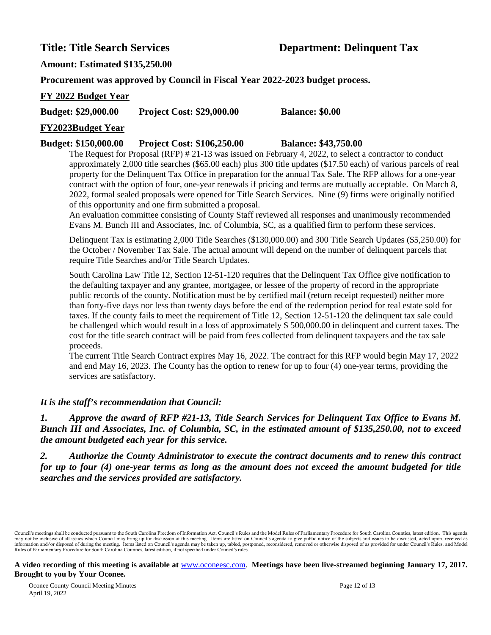### **Amount: Estimated \$135,250.00**

**Procurement was approved by Council in Fiscal Year 2022-2023 budget process.**

### **FY 2022 Budget Year**

**Budget: \$29,000.00 Project Cost: \$29,000.00 Balance: \$0.00**

### **FY2023Budget Year**

### **Budget: \$150,000.00 Project Cost: \$106,250.00 Balance: \$43,750.00**

The Request for Proposal (RFP) # 21-13 was issued on February 4, 2022, to select a contractor to conduct approximately 2,000 title searches (\$65.00 each) plus 300 title updates (\$17.50 each) of various parcels of real property for the Delinquent Tax Office in preparation for the annual Tax Sale. The RFP allows for a one-year contract with the option of four, one-year renewals if pricing and terms are mutually acceptable. On March 8, 2022, formal sealed proposals were opened for Title Search Services. Nine (9) firms were originally notified of this opportunity and one firm submitted a proposal.

An evaluation committee consisting of County Staff reviewed all responses and unanimously recommended Evans M. Bunch III and Associates, Inc. of Columbia, SC, as a qualified firm to perform these services.

Delinquent Tax is estimating 2,000 Title Searches (\$130,000.00) and 300 Title Search Updates (\$5,250.00) for the October / November Tax Sale. The actual amount will depend on the number of delinquent parcels that require Title Searches and/or Title Search Updates.

South Carolina Law Title 12, Section 12-51-120 requires that the Delinquent Tax Office give notification to the defaulting taxpayer and any grantee, mortgagee, or lessee of the property of record in the appropriate public records of the county. Notification must be by certified mail (return receipt requested) neither more than forty-five days nor less than twenty days before the end of the redemption period for real estate sold for taxes. If the county fails to meet the requirement of Title 12, Section 12-51-120 the delinquent tax sale could be challenged which would result in a loss of approximately \$ 500,000.00 in delinquent and current taxes. The cost for the title search contract will be paid from fees collected from delinquent taxpayers and the tax sale proceeds.

The current Title Search Contract expires May 16, 2022. The contract for this RFP would begin May 17, 2022 and end May 16, 2023. The County has the option to renew for up to four (4) one-year terms, providing the services are satisfactory.

### *It is the staff's recommendation that Council:*

*1. Approve the award of RFP #21-13, Title Search Services for Delinquent Tax Office to Evans M. Bunch III and Associates, Inc. of Columbia, SC, in the estimated amount of \$135,250.00, not to exceed the amount budgeted each year for this service.* 

*2. Authorize the County Administrator to execute the contract documents and to renew this contract for up to four (4) one-year terms as long as the amount does not exceed the amount budgeted for title searches and the services provided are satisfactory.*

Council's meetings shall be conducted pursuant to the South Carolina Freedom of Information Act, Council's Rules and the Model Rules of Parliamentary Procedure for South Carolina Counties, latest edition. This agenda may not be inclusive of all issues which Council may bring up for discussion at this meeting. Items are listed on Council's agenda to give public notice of the subjects and issues to be discussed, acted upon, received as i Rules of Parliamentary Procedure for South Carolina Counties, latest edition, if not specified under Council's rules.